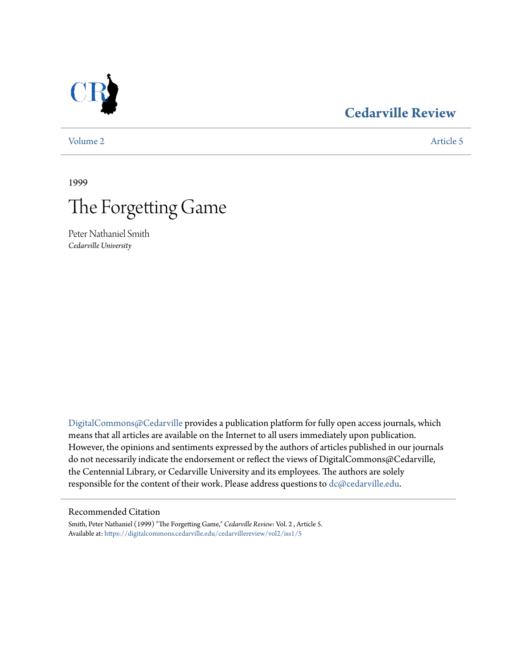## **[Cedarville Review](https://digitalcommons.cedarville.edu/cedarvillereview?utm_source=digitalcommons.cedarville.edu%2Fcedarvillereview%2Fvol2%2Fiss1%2F5&utm_medium=PDF&utm_campaign=PDFCoverPages)**

[Volume 2](https://digitalcommons.cedarville.edu/cedarvillereview/vol2?utm_source=digitalcommons.cedarville.edu%2Fcedarvillereview%2Fvol2%2Fiss1%2F5&utm_medium=PDF&utm_campaign=PDFCoverPages) [Article 5](https://digitalcommons.cedarville.edu/cedarvillereview/vol2/iss1/5?utm_source=digitalcommons.cedarville.edu%2Fcedarvillereview%2Fvol2%2Fiss1%2F5&utm_medium=PDF&utm_campaign=PDFCoverPages)

1999



Peter Nathaniel Smith *Cedarville University*

[DigitalCommons@Cedarville](http://digitalcommons.cedarville.edu) provides a publication platform for fully open access journals, which means that all articles are available on the Internet to all users immediately upon publication. However, the opinions and sentiments expressed by the authors of articles published in our journals do not necessarily indicate the endorsement or reflect the views of DigitalCommons@Cedarville, the Centennial Library, or Cedarville University and its employees. The authors are solely responsible for the content of their work. Please address questions to [dc@cedarville.edu](mailto:dc@cedarville.edu).

### Recommended Citation

Smith, Peter Nathaniel (1999) "The Forgetting Game," *Cedarville Review*: Vol. 2 , Article 5. Available at: [https://digitalcommons.cedarville.edu/cedarvillereview/vol2/iss1/5](https://digitalcommons.cedarville.edu/cedarvillereview/vol2/iss1/5?utm_source=digitalcommons.cedarville.edu%2Fcedarvillereview%2Fvol2%2Fiss1%2F5&utm_medium=PDF&utm_campaign=PDFCoverPages)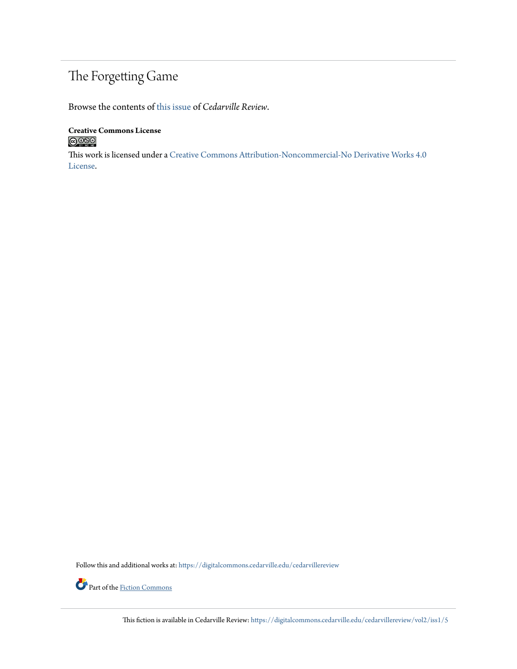# The Forgetting Game

Browse the contents of [this issue](https://digitalcommons.cedarville.edu/cedarvillereview/vol2/iss1) of *Cedarville Review*.

**Creative Commons License**  $\bigcirc$  000

This work is licensed under a [Creative Commons Attribution-Noncommercial-No Derivative Works 4.0](http://creativecommons.org/licenses/by-nc-nd/4.0/) [License.](http://creativecommons.org/licenses/by-nc-nd/4.0/)

Follow this and additional works at: [https://digitalcommons.cedarville.edu/cedarvillereview](https://digitalcommons.cedarville.edu/cedarvillereview?utm_source=digitalcommons.cedarville.edu%2Fcedarvillereview%2Fvol2%2Fiss1%2F5&utm_medium=PDF&utm_campaign=PDFCoverPages)



This fiction is available in Cedarville Review: [https://digitalcommons.cedarville.edu/cedarvillereview/vol2/iss1/5](https://digitalcommons.cedarville.edu/cedarvillereview/vol2/iss1/5?utm_source=digitalcommons.cedarville.edu%2Fcedarvillereview%2Fvol2%2Fiss1%2F5&utm_medium=PDF&utm_campaign=PDFCoverPages)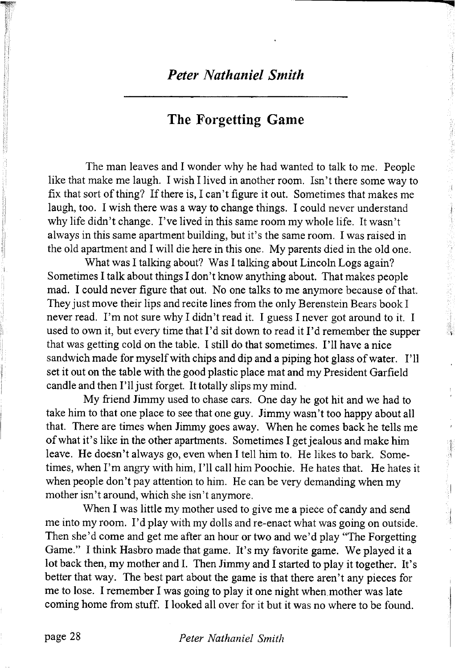## **The** Forgetting **Game**

The man leaves and I wonder why he had wanted to talk to me. People like that make me laugh. I wish I lived in another room. Isn't there some way to fix that sort of thing? If there is, I can't figure it out. Sometimes that makes me laugh, too. I wish there was a way to change things. I could never understand why life didn't change. I've lived in this same room my whole life. It wasn't always in this same apartment building, but it's the same room. I was raised in the old apartment and I will die here in this one. My parents died in the old one.

What was I talking about? Was I talking about Lincoln Logs again? Sometimes I talk about things I don't know anything about. That makes people mad. I could never figure that out. No one talks to me anymore because of that. They just move their lips and recite lines from the only Berenstein Bears book I never read. I'm not sure why I didn't read it. I guess I never got around to it. I used to own it, but every time that I'd sit down to read it I 'd remember the supper that was getting cold on the table. I still do that sometimes. I 'll have a nice sandwich made for myself with chips and dip and a piping hot glass of water. I'll set it out on the table with the good plastic place mat and my President Garfield candle and then I'll just forget. It totally slips my mind.

My friend Jimmy used to chase cars. One day he got hit and we had to take him to that one place to see that one guy. Jimmy wasn't too happy about all that. There are times when Jimmy goes away. When he comes back he tells me of what it's like in the other apartments. Sometimes I get jealous and make him leave. He doesn't always go, even when I tell him to. He likes to bark. Sometimes, when I'm angry with him, I'll call him Poochie. He hates that. He hates it when people don't pay attention to him. He can be very demanding when my mother isn't around, which she isn't anymore.

When I was little my mother used to give me a piece of candy and send me into my room. I'd play with my dolls and re-enact what was going on outside. Then she'd come and get me after an hour or two and we'd play "The Forgetting Game." I think Hasbro made that game. It's my favorite game. We played it a lot back then, my mother and I. Then Jimmy and I started to play it together. It's better that way. The best part about the game is that there aren't any pieces for me to lose. I remember I was going to play it one night when.mother was late coming home from stuff. I looked all over for it but it was no where to be found.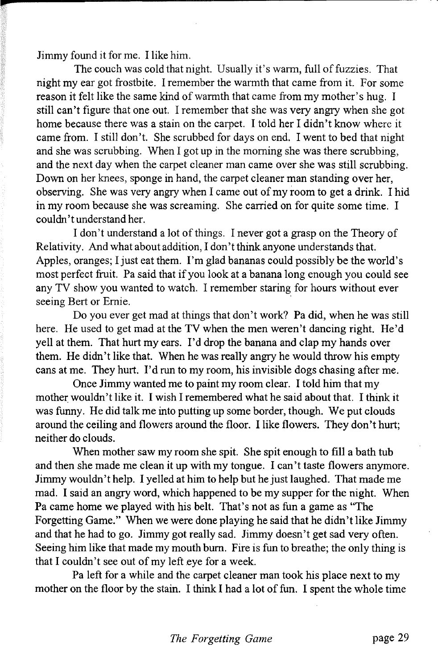Jimmy found it for me. I like him.

The couch was cold that night. Usually it's warm, full of fuzzies. That night my ear got frostbite. I remember the warmth that came from it. For some reason it felt like the same kind of warmth that came from my mother's hug. I still can't figure that one out. I remember that she was very angry when she got home because there was a stain on the carpet. I told her I didn't know where it came from. I still don't. She scrubbed for days on end. I went to bed that night and she was scrubbing. When I got up in the morning she was there scrubbing, and the next day when the carpet cleaner man came over she was still scrubbing. Down on her knees, sponge in hand, the carpet cleaner man standing over her, observing. She was very angry when I came out of my room to get a drink. I hid in my room because she was screaming. She carried on for quite some time. I couldn't understand her.

I don't understand a lot of things. I never got a grasp on the Theory of Relativity. And what about addition, I don't think anyone understands that. Apples, oranges; I just eat them. I'm glad bananas could possibly be the world's most perfect fruit. Pa said that if you look at a banana long enough you could see any TV show you wanted to watch. I remember staring for hours without ever seeing Bert or Ernie.

Do you ever get mad at things that don't work? Pa did, when he was still here. He used to get mad at the TV when the men weren't dancing right. He'd yell at them. That hurt my ears. I'd drop the banana and clap my hands over them. He didn't like that. When he was really angry he would throw his empty cans at me. They hurt. I'd run to my room, his invisible dogs chasing after me.

Once Jimmy wanted me to paint my room clear. I told him that my mother wouldn't like it. I wish I remembered what he said about that. I think it was funny. He did talk me into putting up some border, though. We put clouds around the ceiling and flowers around the floor. I like flowers. They don't hurt; neither do clouds.

When mother saw my room she spit. She spit enough to fill a bath tub and then she made me clean it up with my tongue. I can't taste flowers anymore. Jimmy wouldn't help. I yelled at him to help but he just laughed. That made me mad. I said an angry word, which happened to be my supper for the night. When Pa came home we played with his belt. That's not as fun a game as "The Forgetting Game." When we were done playing he said that he didn't like Jimmy and that he had to go. Jimmy got really sad. Jimmy doesn't get sad very often. Seeing him like that made my mouth bum. Fire is fun to breathe; the only thing is that I couldn't see out of my left eye for a week.

Pa left for a while and the carpet cleaner man took his place next to my mother on the floor by the stain. I think I had a lot of fun. I spent the whole time